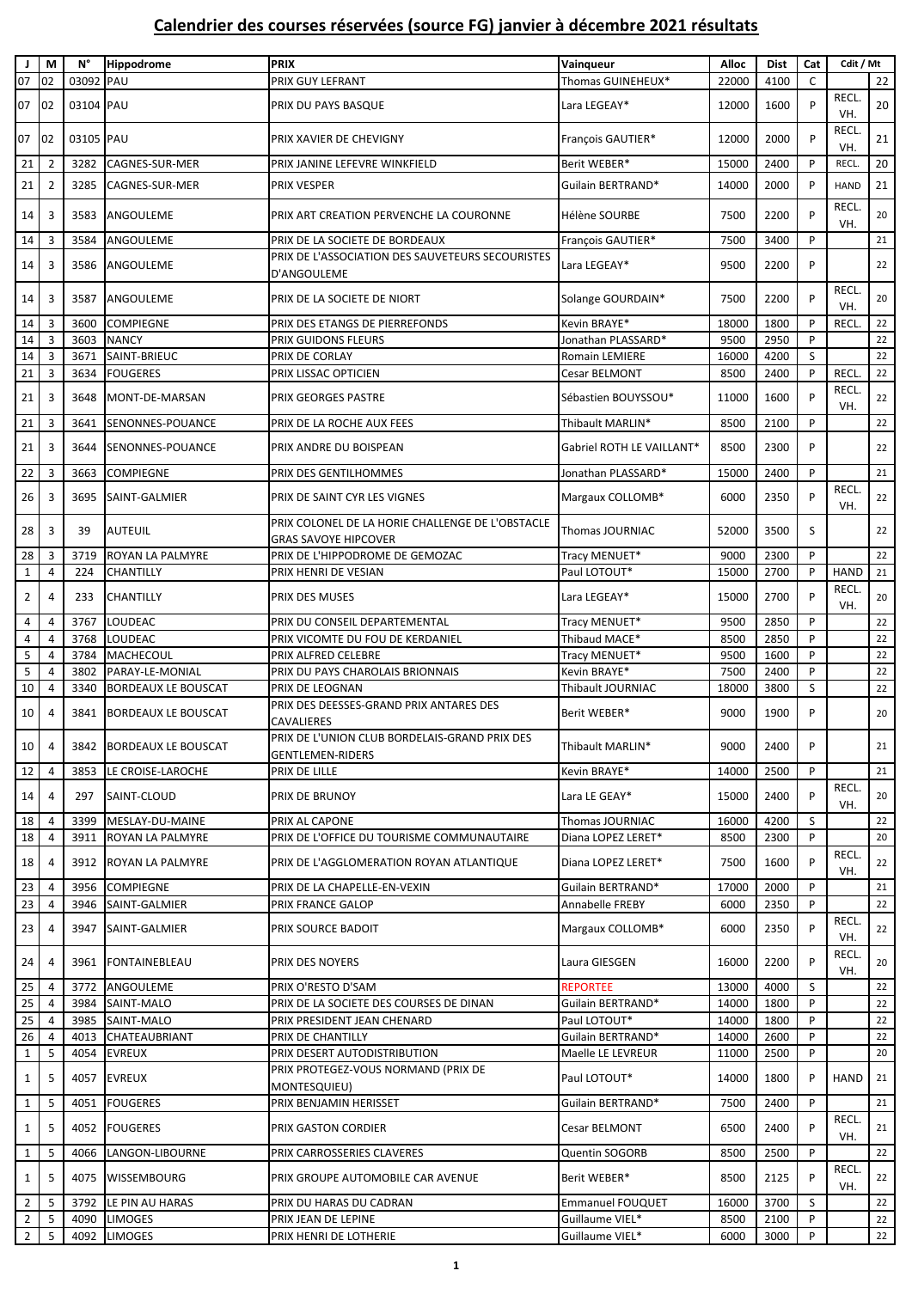| J               | M              | N°        | Hippodrome                 | <b>PRIX</b>                                                                     | Vainqueur                 | Alloc | <b>Dist</b> | Cat | Cdit / Mt          |    |
|-----------------|----------------|-----------|----------------------------|---------------------------------------------------------------------------------|---------------------------|-------|-------------|-----|--------------------|----|
| 07              | 02             | 03092     | PAU                        | PRIX GUY LEFRANT                                                                | Thomas GUINEHEUX*         | 22000 | 4100        | C   |                    | 22 |
| 07              | 102            | 03104 PAU |                            | PRIX DU PAYS BASQUE                                                             | Lara LEGEAY*              | 12000 | 1600        | P   | <b>RECL</b><br>VH. | 20 |
| 07              | 02             | 03105 PAU |                            | PRIX XAVIER DE CHEVIGNY                                                         | François GAUTIER*         | 12000 | 2000        | P   | <b>RECL</b><br>VH. | 21 |
| 21              | $\overline{2}$ | 3282      | CAGNES-SUR-MER             | PRIX JANINE LEFEVRE WINKFIELD                                                   | Berit WEBER*              | 15000 | 2400        | P   | RECL.              | 20 |
| 21              | $\overline{2}$ | 3285      | <b>CAGNES-SUR-MER</b>      | PRIX VESPER                                                                     | Guilain BERTRAND*         | 14000 | 2000        | P   | <b>HAND</b>        | 21 |
| 14              | 3              | 3583      | ANGOULEME                  | PRIX ART CREATION PERVENCHE LA COURONNE                                         | Hélène SOURBE             | 7500  | 2200        | P   | RECL.<br>VH.       | 20 |
| 14              | 3              | 3584      | ANGOULEME                  | PRIX DE LA SOCIETE DE BORDEAUX                                                  | François GAUTIER*         | 7500  | 3400        | P   |                    | 21 |
| 14              | 3              | 3586      | ANGOULEME                  | PRIX DE L'ASSOCIATION DES SAUVETEURS SECOURISTES<br>D'ANGOULEME                 | Lara LEGEAY*              | 9500  | 2200        | P   |                    | 22 |
| 14              | 3              | 3587      | ANGOULEME                  | PRIX DE LA SOCIETE DE NIORT                                                     | Solange GOURDAIN*         | 7500  | 2200        | P   | RECL.<br>VH.       | 20 |
| 14              | 3              | 3600      | <b>COMPIEGNE</b>           | PRIX DES ETANGS DE PIERREFONDS                                                  | Kevin BRAYE*              | 18000 | 1800        | P   | <b>RECL</b>        | 22 |
| 14              | $\overline{3}$ | 3603      | <b>NANCY</b>               | PRIX GUIDONS FLEURS                                                             | Jonathan PLASSARD*        | 9500  | 2950        | P   |                    | 22 |
| 14              | 3              | 3671      | SAINT-BRIEUC               | PRIX DE CORLAY                                                                  | Romain LEMIERE            | 16000 | 4200        | S   |                    | 22 |
| 21              | 3              | 3634      | <b>FOUGERES</b>            | PRIX LISSAC OPTICIEN                                                            | Cesar BELMONT             | 8500  | 2400        | P   | <b>RECL</b>        | 22 |
| 21              | 3              | 3648      | MONT-DE-MARSAN             | PRIX GEORGES PASTRE                                                             | Sébastien BOUYSSOU*       | 11000 | 1600        | P   | <b>RECL</b><br>VH. | 22 |
| 21              | 3              | 3641      | SENONNES-POUANCE           | PRIX DE LA ROCHE AUX FEES                                                       | Thibault MARLIN*          | 8500  | 2100        | P   |                    | 22 |
| 21              | 3              | 3644      | SENONNES-POUANCE           | PRIX ANDRE DU BOISPEAN                                                          | Gabriel ROTH LE VAILLANT* | 8500  | 2300        | P   |                    | 22 |
| 22              | 3              | 3663      | <b>COMPIEGNE</b>           | PRIX DES GENTILHOMMES                                                           | Jonathan PLASSARD*        | 15000 | 2400        | P   |                    | 21 |
| 26              | 3              | 3695      | SAINT-GALMIER              | PRIX DE SAINT CYR LES VIGNES                                                    | Margaux COLLOMB*          | 6000  | 2350        | P   | <b>RECL</b><br>VH. | 22 |
| 28              | 3              | 39        | <b>AUTEUIL</b>             | PRIX COLONEL DE LA HORIE CHALLENGE DE L'OBSTACLE<br><b>GRAS SAVOYE HIPCOVER</b> | Thomas JOURNIAC           | 52000 | 3500        | S   |                    | 22 |
| 28              | 3              | 3719      | ROYAN LA PALMYRE           | PRIX DE L'HIPPODROME DE GEMOZAC                                                 | Tracy MENUET*             | 9000  | 2300        | P   |                    | 22 |
| $\mathbf 1$     | 4              | 224       | CHANTILLY                  | PRIX HENRI DE VESIAN                                                            | Paul LOTOUT*              | 15000 | 2700        | P   | <b>HAND</b>        | 21 |
| $\overline{2}$  | 4              | 233       | <b>CHANTILLY</b>           | PRIX DES MUSES                                                                  | Lara LEGEAY*              | 15000 | 2700        | P   | <b>RECL</b><br>VH. | 20 |
| 4               | 4              | 3767      | <b>LOUDEAC</b>             | PRIX DU CONSEIL DEPARTEMENTAL                                                   | Tracy MENUET*             | 9500  | 2850        | P   |                    | 22 |
| 4               | $\overline{4}$ | 3768      | <b>LOUDEAC</b>             | PRIX VICOMTE DU FOU DE KERDANIEL                                                | Thibaud MACE*             | 8500  | 2850        | P   |                    | 22 |
| $\sqrt{5}$      | $\overline{4}$ | 3784      | <b>MACHECOUL</b>           | PRIX ALFRED CELEBRE                                                             | Tracy MENUET*             | 9500  | 1600        | P   |                    | 22 |
| $\sf 5$         | $\overline{4}$ | 3802      | PARAY-LE-MONIAL            | PRIX DU PAYS CHAROLAIS BRIONNAIS                                                | Kevin BRAYE*              | 7500  | 2400        | P   |                    | 22 |
| 10              | $\overline{4}$ | 3340      | <b>BORDEAUX LE BOUSCAT</b> | PRIX DE LEOGNAN                                                                 | Thibault JOURNIAC         | 18000 | 3800        | S   |                    | 22 |
| 10              | $\overline{4}$ | 3841      | <b>BORDEAUX LE BOUSCAT</b> | PRIX DES DEESSES-GRAND PRIX ANTARES DES<br>CAVALIERES                           | Berit WEBER*              | 9000  | 1900        | P   |                    | 20 |
| $10 \mid 4$     |                |           | 3842 BORDEAUX LE BOUSCAT   | PRIX DE L'UNION CLUB BORDELAIS-GRAND PRIX DES<br><b>GENTLEMEN-RIDERS</b>        | Thibault MARLIN*          | 9000  | 2400        | P   |                    | 21 |
| 12              | $\overline{4}$ | 3853      | LE CROISE-LAROCHE          | PRIX DE LILLE                                                                   | Kevin BRAYE*              | 14000 | 2500        | P   |                    | 21 |
| 14              | 4              | 297       | SAINT-CLOUD                | PRIX DE BRUNOY                                                                  | Lara LE GEAY*             | 15000 | 2400        | P   | RECL.<br>VH.       | 20 |
| 18              | $\overline{a}$ | 3399      | MESLAY-DU-MAINE            | PRIX AL CAPONE                                                                  | Thomas JOURNIAC           | 16000 | 4200        | S   |                    | 22 |
| 18              | 4              | 3911      | <b>ROYAN LA PALMYRE</b>    | PRIX DE L'OFFICE DU TOURISME COMMUNAUTAIRE                                      | Diana LOPEZ LERET*        | 8500  | 2300        | P   |                    | 20 |
| 18              | 4              |           | 3912 ROYAN LA PALMYRE      | PRIX DE L'AGGLOMERATION ROYAN ATLANTIQUE                                        | Diana LOPEZ LERET*        | 7500  | 1600        | P   | <b>RECL</b><br>VH. | 22 |
| $23\,$          | $\overline{4}$ | 3956      | <b>COMPIEGNE</b>           | PRIX DE LA CHAPELLE-EN-VEXIN                                                    | Guilain BERTRAND*         | 17000 | 2000        | P   |                    | 21 |
| 23              | 4              | 3946      | SAINT-GALMIER              | PRIX FRANCE GALOP                                                               | Annabelle FREBY           | 6000  | 2350        | P   |                    | 22 |
| 23              | 4              | 3947      | SAINT-GALMIER              | PRIX SOURCE BADOIT                                                              | Margaux COLLOMB*          | 6000  | 2350        | P   | <b>RECL</b><br>VH. | 22 |
| 24              | 4              | 3961      | FONTAINEBLEAU              | PRIX DES NOYERS                                                                 | Laura GIESGEN             | 16000 | 2200        | P   | RECL.<br>VH.       | 20 |
| 25              | $\overline{4}$ | 3772      | ANGOULEME                  | PRIX O'RESTO D'SAM                                                              | <b>REPORTEE</b>           | 13000 | 4000        | S   |                    | 22 |
| $\overline{25}$ | $\overline{4}$ | 3984      | SAINT-MALO                 | PRIX DE LA SOCIETE DES COURSES DE DINAN                                         | Guilain BERTRAND*         | 14000 | 1800        | P   |                    | 22 |
| $25\,$          | $\overline{4}$ | 3985      | SAINT-MALO                 | PRIX PRESIDENT JEAN CHENARD                                                     | Paul LOTOUT*              | 14000 | 1800        | P   |                    | 22 |
| $26\,$          | $\overline{4}$ | 4013      | CHATEAUBRIANT              | PRIX DE CHANTILLY                                                               | Guilain BERTRAND*         | 14000 | 2600        | P   |                    | 22 |
| $\mathbf{1}$    | 5              | 4054      | <b>EVREUX</b>              | PRIX DESERT AUTODISTRIBUTION                                                    | Maelle LE LEVREUR         | 11000 | 2500        | P   |                    | 20 |
| $\mathbf{1}$    | 5              | 4057      | <b>EVREUX</b>              | PRIX PROTEGEZ-VOUS NORMAND (PRIX DE<br>MONTESQUIEU)                             | Paul LOTOUT*              | 14000 | 1800        | P   | HAND               | 21 |
| $\mathbf{1}$    | 5              | 4051      | <b>FOUGERES</b>            | PRIX BENJAMIN HERISSET                                                          | Guilain BERTRAND*         | 7500  | 2400        | P   |                    | 21 |
| $\mathbf{1}$    | 5              | 4052      | <b>FOUGERES</b>            | PRIX GASTON CORDIER                                                             | Cesar BELMONT             | 6500  | 2400        | P   | RECL.<br>VH.       | 21 |
| $\mathbf{1}$    | 5              | 4066      | LANGON-LIBOURNE            | PRIX CARROSSERIES CLAVERES                                                      | Quentin SOGORB            | 8500  | 2500        | P   |                    | 22 |
| $\mathbf 1$     | 5              | 4075      | <b>WISSEMBOURG</b>         | PRIX GROUPE AUTOMOBILE CAR AVENUE                                               | Berit WEBER*              | 8500  | 2125        | P   | RECL.<br>VH.       | 22 |
| $\overline{2}$  | 5              | 3792      | LE PIN AU HARAS            | PRIX DU HARAS DU CADRAN                                                         | Emmanuel FOUQUET          | 16000 | 3700        | S   |                    | 22 |
| $\overline{2}$  | 5              | 4090      | <b>LIMOGES</b>             | PRIX JEAN DE LEPINE                                                             | Guillaume VIEL*           | 8500  | 2100        | P   |                    | 22 |
| $2 \mid$        | 5              | 4092      | <b>LIMOGES</b>             | PRIX HENRI DE LOTHERIE                                                          | Guillaume VIEL*           | 6000  | 3000        | P   |                    | 22 |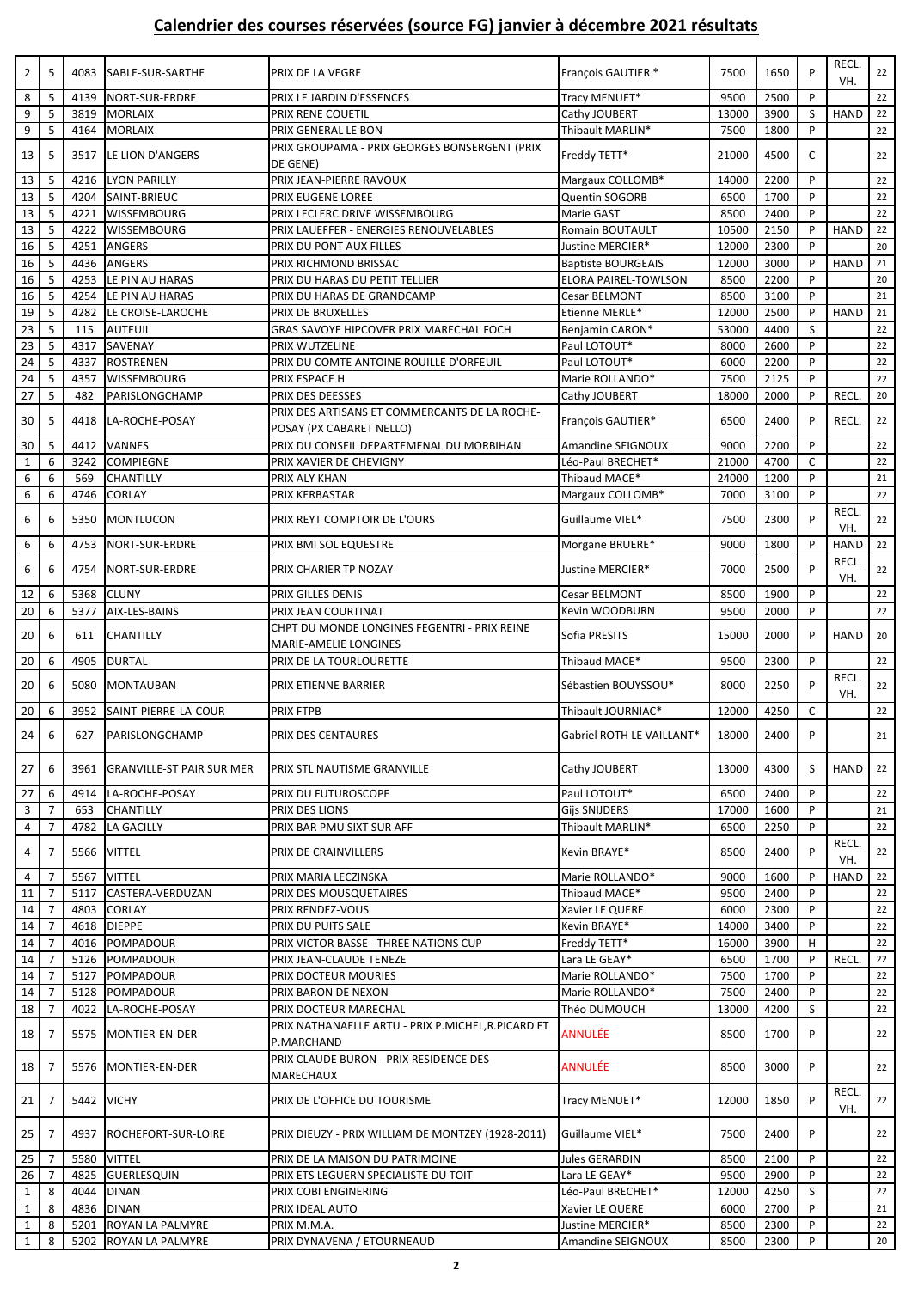| $\overline{2}$  | 5              | 4083 | SABLE-SUR-SARTHE                 | PRIX DE LA VEGRE                                                          | François GAUTIER *        | 7500  | 1650         | P            | RECL.<br>VH.       | 22       |
|-----------------|----------------|------|----------------------------------|---------------------------------------------------------------------------|---------------------------|-------|--------------|--------------|--------------------|----------|
| 8               | 5              | 4139 | NORT-SUR-ERDRE                   | PRIX LE JARDIN D'ESSENCES                                                 | Tracy MENUET*             | 9500  | 2500         | P            |                    | 22       |
| 9               | 5              | 3819 | MORLAIX                          | PRIX RENE COUETIL                                                         | Cathy JOUBERT             | 13000 | 3900         | S            | <b>HAND</b>        | 22       |
| 9               | 5              | 4164 | <b>MORLAIX</b>                   | PRIX GENERAL LE BON                                                       | Thibault MARLIN*          | 7500  | 1800         | P            |                    | 22       |
|                 |                |      |                                  | PRIX GROUPAMA - PRIX GEORGES BONSERGENT (PRIX                             |                           |       |              |              |                    |          |
| 13              | 5              | 3517 | LE LION D'ANGERS                 |                                                                           | Freddy TETT*              | 21000 | 4500         | C            |                    | 22       |
|                 |                |      |                                  | DE GENE)                                                                  |                           |       |              |              |                    |          |
| 13              | 5              | 4216 | <b>LYON PARILLY</b>              | PRIX JEAN-PIERRE RAVOUX                                                   | Margaux COLLOMB*          | 14000 | 2200         | P            |                    | 22       |
| 13              | 5              | 4204 | SAINT-BRIEUC                     | PRIX EUGENE LOREE                                                         | <b>Quentin SOGORB</b>     | 6500  | 1700         | P            |                    | 22       |
| 13              | 5              | 4221 | <b>WISSEMBOURG</b>               | PRIX LECLERC DRIVE WISSEMBOURG                                            | Marie GAST                | 8500  | 2400         | P            |                    | 22       |
| 13              | 5              | 4222 | <b>WISSEMBOURG</b>               | PRIX LAUEFFER - ENERGIES RENOUVELABLES                                    | Romain BOUTAULT           | 10500 | 2150         | P            | <b>HAND</b>        | 22       |
| 16              | 5              | 4251 | <b>ANGERS</b>                    | PRIX DU PONT AUX FILLES                                                   | Justine MERCIER*          | 12000 | 2300         | P            |                    | 20       |
| 16              | 5              | 4436 | <b>ANGERS</b>                    | PRIX RICHMOND BRISSAC                                                     | <b>Baptiste BOURGEAIS</b> | 12000 | 3000         | P            | <b>HAND</b>        | 21       |
| 16              | 5              | 4253 | LE PIN AU HARAS                  | PRIX DU HARAS DU PETIT TELLIER                                            | ELORA PAIREL-TOWLSON      | 8500  | 2200         | P            |                    | 20       |
| 16              | 5              | 4254 | LE PIN AU HARAS                  | PRIX DU HARAS DE GRANDCAMP                                                | Cesar BELMONT             | 8500  | 3100         | P            |                    | 21       |
| 19              | 5              | 4282 | LE CROISE-LAROCHE                | PRIX DE BRUXELLES                                                         | Etienne MERLE*            | 12000 | 2500         | P            | <b>HAND</b>        | 21       |
| 23              | 5              | 115  | AUTEUIL                          | GRAS SAVOYE HIPCOVER PRIX MARECHAL FOCH                                   | Benjamin CARON*           | 53000 | 4400         | S            |                    | 22       |
| $\overline{23}$ | 5              |      | SAVENAY                          |                                                                           |                           |       |              | P            |                    |          |
|                 |                | 4317 |                                  | PRIX WUTZELINE                                                            | Paul LOTOUT*              | 8000  | 2600         |              |                    | 22       |
| 24              | 5              | 4337 | ROSTRENEN                        | PRIX DU COMTE ANTOINE ROUILLE D'ORFEUIL                                   | Paul LOTOUT*              | 6000  | 2200         | P            |                    | 22       |
| 24              | 5              | 4357 | <b>WISSEMBOURG</b>               | PRIX ESPACE H                                                             | Marie ROLLANDO*           | 7500  | 2125         | P            |                    | 22       |
| 27              | 5              | 482  | PARISLONGCHAMP                   | PRIX DES DEESSES                                                          | Cathy JOUBERT             | 18000 | 2000         | P            | <b>RECL</b>        | 20       |
| 30              | 5              | 4418 | LA-ROCHE-POSAY                   | PRIX DES ARTISANS ET COMMERCANTS DE LA ROCHE-<br>POSAY (PX CABARET NELLO) | François GAUTIER*         | 6500  | 2400         | P            | RECL.              | 22       |
| 30              | 5              | 4412 | <b>VANNES</b>                    | PRIX DU CONSEIL DEPARTEMENAL DU MORBIHAN                                  | Amandine SEIGNOUX         | 9000  | 2200         | P            |                    | 22       |
|                 |                |      |                                  |                                                                           |                           |       | 4700         |              |                    |          |
| $\mathbf{1}$    | 6              | 3242 | <b>COMPIEGNE</b>                 | PRIX XAVIER DE CHEVIGNY                                                   | Léo-Paul BRECHET*         | 21000 |              | C            |                    | 22       |
| 6               | 6              | 569  | <b>CHANTILLY</b>                 | PRIX ALY KHAN                                                             | Thibaud MACE*             | 24000 | 1200         | P            |                    | 21       |
| 6               | 6              | 4746 | <b>CORLAY</b>                    | PRIX KERBASTAR                                                            | Margaux COLLOMB*          | 7000  | 3100         | P            |                    | 22       |
| 6               | 6              | 5350 | <b>MONTLUCON</b>                 | PRIX REYT COMPTOIR DE L'OURS                                              | Guillaume VIEL*           | 7500  | 2300         | P            | <b>RECL</b><br>VH. | 22       |
| 6               | 6              | 4753 | NORT-SUR-ERDRE                   | PRIX BMI SOL EQUESTRE                                                     | Morgane BRUERE*           | 9000  | 1800         | P            | <b>HAND</b>        | 22       |
| 6               | 6              | 4754 | NORT-SUR-ERDRE                   | PRIX CHARIER TP NOZAY                                                     | Justine MERCIER*          | 7000  | 2500         | P            | <b>RECL</b><br>VH. | 22       |
| 12              | 6              | 5368 | <b>CLUNY</b>                     | PRIX GILLES DENIS                                                         | Cesar BELMONT             | 8500  | 1900         | P            |                    | 22       |
| 20              | 6              | 5377 | AIX-LES-BAINS                    | PRIX JEAN COURTINAT                                                       | Kevin WOODBURN            | 9500  | 2000         | P            |                    | 22       |
|                 |                |      |                                  | CHPT DU MONDE LONGINES FEGENTRI - PRIX REINE                              |                           |       |              |              |                    |          |
| 20              | 6              | 611  | <b>CHANTILLY</b>                 | MARIE-AMELIE LONGINES                                                     | Sofia PRESITS             | 15000 | 2000         | P            | <b>HAND</b>        | 20       |
| 20              | 6              | 4905 | <b>DURTAL</b>                    | PRIX DE LA TOURLOURETTE                                                   | Thibaud MACE*             | 9500  | 2300         | P            |                    | 22       |
| 20              | 6              | 5080 | <b>MONTAUBAN</b>                 | PRIX ETIENNE BARRIER                                                      | Sébastien BOUYSSOU*       | 8000  | 2250         | P            | RECL.              | 22       |
|                 |                |      |                                  |                                                                           |                           |       |              |              | VH.                |          |
| 20              | 6              | 3952 | SAINT-PIERRE-LA-COUR             | PRIX FTPB                                                                 | Thibault JOURNIAC*        | 12000 | 4250         | $\mathsf{C}$ |                    | 22       |
| 24              | 6              | 627  | PARISLONGCHAMP                   | PRIX DES CENTAURES                                                        | Gabriel ROTH LE VAILLANT* | 18000 | 2400         | P            |                    | 21       |
| 27              | 6              | 3961 | <b>GRANVILLE-ST PAIR SUR MER</b> | PRIX STL NAUTISME GRANVILLE                                               | Cathy JOUBERT             | 13000 | 4300         | S            | <b>HAND</b>        | 22       |
| 27              | 6              | 4914 | LA-ROCHE-POSAY                   | PRIX DU FUTUROSCOPE                                                       | Paul LOTOUT*              | 6500  | 2400         | P            |                    | 22       |
|                 | $\overline{7}$ |      |                                  | PRIX DES LIONS                                                            |                           |       |              | P            |                    | 21       |
| 3               |                | 653  | CHANTILLY                        |                                                                           | <b>Gijs SNIJDERS</b>      | 17000 | 1600         |              |                    |          |
| 4               | $\overline{7}$ | 4782 | <b>LA GACILLY</b>                | PRIX BAR PMU SIXT SUR AFF                                                 | Thibault MARLIN*          | 6500  | 2250         | P            |                    | 22       |
| 4               | 7              | 5566 | <b>VITTEL</b>                    | PRIX DE CRAINVILLERS                                                      | Kevin BRAYE*              | 8500  | 2400         | P            | RECL.<br>VH.       | 22       |
| 4               | $\overline{7}$ | 5567 | <b>VITTEL</b>                    | PRIX MARIA LECZINSKA                                                      | Marie ROLLANDO*           | 9000  | 1600         | P            | <b>HAND</b>        | 22       |
| 11              | $\overline{7}$ | 5117 | CASTERA-VERDUZAN                 | PRIX DES MOUSQUETAIRES                                                    | Thibaud MACE*             | 9500  | 2400         | P            |                    | 22       |
| 14              | $\overline{7}$ | 4803 | <b>CORLAY</b>                    | PRIX RENDEZ-VOUS                                                          | Xavier LE QUERE           | 6000  | 2300         | P            |                    | 22       |
| 14              | $\overline{7}$ | 4618 | <b>DIEPPE</b>                    | PRIX DU PUITS SALE                                                        | Kevin BRAYE*              | 14000 | 3400         | P            |                    | 22       |
| 14              | $\overline{7}$ | 4016 | POMPADOUR                        | PRIX VICTOR BASSE - THREE NATIONS CUP                                     | Freddy TETT*              | 16000 | 3900         | H            |                    | 22       |
| 14              | $\overline{7}$ |      |                                  |                                                                           |                           |       |              | P            |                    |          |
|                 | $\overline{7}$ | 5126 | POMPADOUR                        | PRIX JEAN-CLAUDE TENEZE                                                   | Lara LE GEAY*             | 6500  | 1700<br>1700 | P            | <b>RECL</b>        | 22<br>22 |
| 14              |                | 5127 | POMPADOUR                        | PRIX DOCTEUR MOURIES                                                      | Marie ROLLANDO*           | 7500  |              |              |                    |          |
| 14              | $\overline{7}$ | 5128 | POMPADOUR                        | PRIX BARON DE NEXON                                                       | Marie ROLLANDO*           | 7500  | 2400         | P            |                    | 22       |
| 18              | $\overline{7}$ | 4022 | LA-ROCHE-POSAY                   | PRIX DOCTEUR MARECHAL                                                     | Théo DUMOUCH              | 13000 | 4200         | S            |                    | 22       |
| 18              | 7              | 5575 | MONTIER-EN-DER                   | PRIX NATHANAELLE ARTU - PRIX P.MICHEL,R.PICARD ET<br>P.MARCHAND           | <b>ANNULÉE</b>            | 8500  | 1700         | P            |                    | 22       |
| 18              | 7              | 5576 | MONTIER-EN-DER                   | PRIX CLAUDE BURON - PRIX RESIDENCE DES<br>MARECHAUX                       | ANNULÉE                   | 8500  | 3000         | P            |                    | 22       |
| 21              | 7              | 5442 | <b>VICHY</b>                     | PRIX DE L'OFFICE DU TOURISME                                              | Tracy MENUET*             | 12000 | 1850         | P            | <b>RECL</b><br>VH. | 22       |
| 25              | 7              | 4937 | ROCHEFORT-SUR-LOIRE              | PRIX DIEUZY - PRIX WILLIAM DE MONTZEY (1928-2011)                         | Guillaume VIEL*           | 7500  | 2400         | P            |                    | 22       |
| 25              | $\overline{7}$ | 5580 | <b>VITTEL</b>                    | PRIX DE LA MAISON DU PATRIMOINE                                           | Jules GERARDIN            | 8500  | 2100         | P            |                    | 22       |
| 26              | $\overline{7}$ | 4825 | GUERLESQUIN                      | PRIX ETS LEGUERN SPECIALISTE DU TOIT                                      | Lara LE GEAY*             | 9500  | 2900         | P            |                    | 22       |
|                 |                |      |                                  |                                                                           |                           |       |              |              |                    |          |
| $\mathbf{1}$    | 8              | 4044 | <b>DINAN</b>                     | PRIX COBI ENGINERING                                                      | Léo-Paul BRECHET*         | 12000 | 4250         | S            |                    | 22       |
| $\mathbf{1}$    | 8              | 4836 | <b>DINAN</b>                     | PRIX IDEAL AUTO                                                           | Xavier LE QUERE           | 6000  | 2700         | P            |                    | 21       |
| $\mathbf{1}$    | 8              | 5201 | ROYAN LA PALMYRE                 | PRIX M.M.A.                                                               | Justine MERCIER*          | 8500  | 2300         | P            |                    | 22       |
| $\mathbf{1}$    | 8              | 5202 | ROYAN LA PALMYRE                 | PRIX DYNAVENA / ETOURNEAUD                                                | Amandine SEIGNOUX         | 8500  | 2300         | P            |                    | 20       |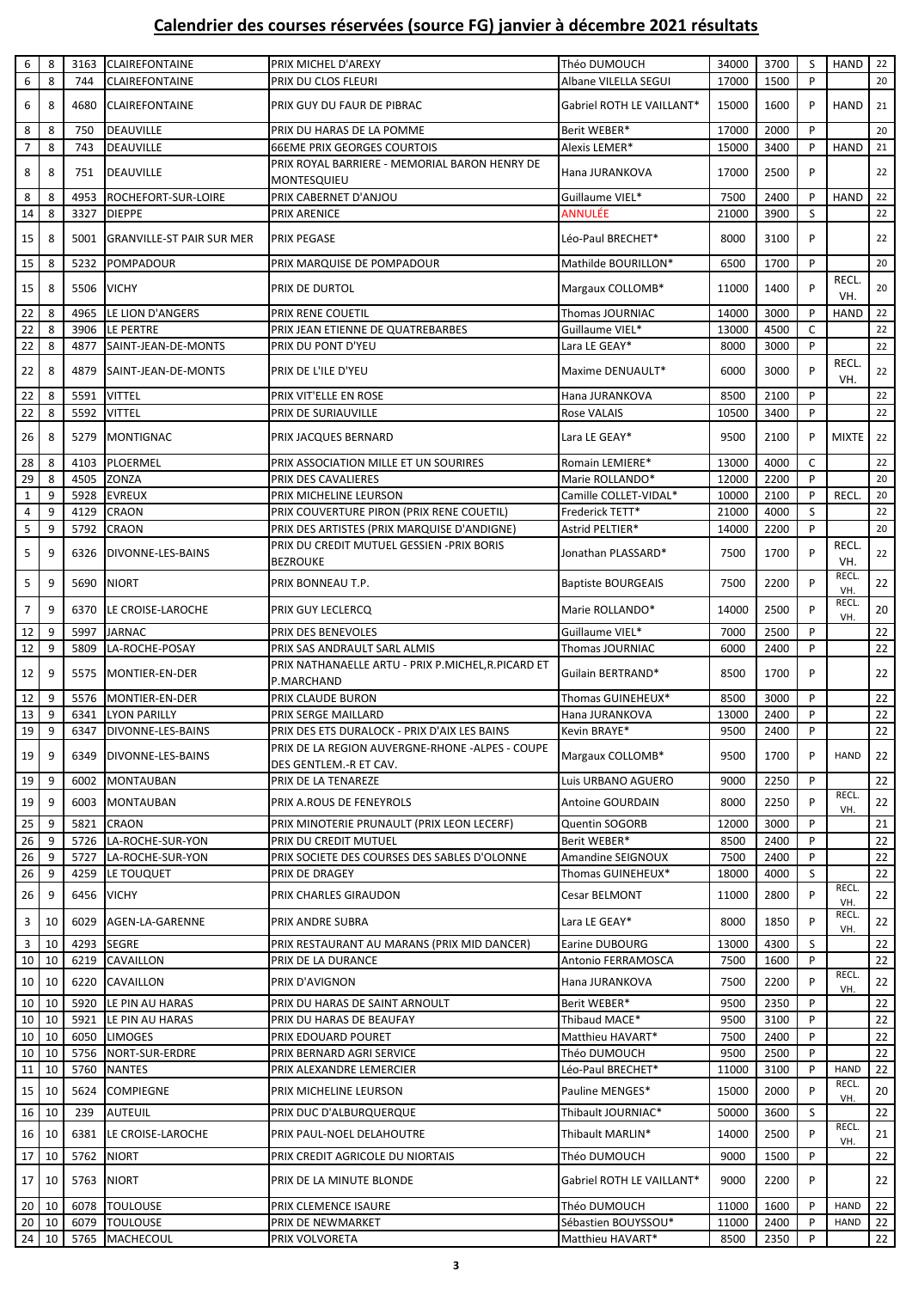| 6               | 8            | 3163              | <b>CLAIREFONTAINE</b>                          | PRIX MICHEL D'AREXY                                                   | Théo DUMOUCH                         | 34000          | 3700         | S           | <b>HAND</b>                 | 22       |
|-----------------|--------------|-------------------|------------------------------------------------|-----------------------------------------------------------------------|--------------------------------------|----------------|--------------|-------------|-----------------------------|----------|
| 6               | 8            | 744               | CLAIREFONTAINE                                 | PRIX DU CLOS FLEURI                                                   | Albane VILELLA SEGUI                 | 17000          | 1500         | P           |                             | 20       |
| 6               | 8            | 4680              | <b>CLAIREFONTAINE</b>                          | PRIX GUY DU FAUR DE PIBRAC                                            | Gabriel ROTH LE VAILLANT*            | 15000          | 1600         | P           | <b>HAND</b>                 | 21       |
| 8               | 8            | 750               | <b>DEAUVILLE</b>                               | PRIX DU HARAS DE LA POMME                                             | Berit WEBER*                         | 17000          | 2000         | P           |                             | 20       |
| $\overline{7}$  | 8            | 743               | <b>DEAUVILLE</b>                               | <b>66EME PRIX GEORGES COURTOIS</b>                                    | Alexis LEMER*                        | 15000          | 3400         | P           | <b>HAND</b>                 | 21       |
| 8               | 8            | 751               | DEAUVILLE                                      | PRIX ROYAL BARRIERE - MEMORIAL BARON HENRY DE<br>MONTESQUIEU          | Hana JURANKOVA                       | 17000          | 2500         | P           |                             | 22       |
| 8               | 8            | 4953              | ROCHEFORT-SUR-LOIRE                            | PRIX CABERNET D'ANJOU                                                 | Guillaume VIEL*                      | 7500           | 2400         | P           | <b>HAND</b>                 | 22       |
| 14              | 8            | 3327              | <b>DIEPPE</b>                                  | PRIX ARENICE                                                          | <b>ANNULÉE</b>                       | 21000          | 3900         | S           |                             | 22       |
| 15              | 8            | 5001              | <b>GRANVILLE-ST PAIR SUR MER</b>               | <b>PRIX PEGASE</b>                                                    | Léo-Paul BRECHET*                    | 8000           | 3100         | P           |                             | 22       |
| 15              | 8            | 5232              | <b>POMPADOUR</b>                               | PRIX MARQUISE DE POMPADOUR                                            | Mathilde BOURILLON*                  | 6500           | 1700         | P           |                             | 20       |
| 15              | 8            | <b>5506 VICHY</b> |                                                | PRIX DE DURTOL                                                        | Margaux COLLOMB*                     | 11000          | 1400         | P           | RECL.<br>VH.                | 20       |
| 22              | 8            | 4965              | LE LION D'ANGERS                               | PRIX RENE COUETIL                                                     | Thomas JOURNIAC                      | 14000          | 3000         | P           | <b>HAND</b>                 | 22       |
| 22              | 8            | 3906              | LE PERTRE                                      | PRIX JEAN ETIENNE DE QUATREBARBES                                     | Guillaume VIEL*                      | 13000          | 4500         | C           |                             | 22       |
| 22              | 8            | 4877              | SAINT-JEAN-DE-MONTS                            | PRIX DU PONT D'YEU                                                    | Lara LE GEAY*                        | 8000           | 3000         | P           |                             | 22       |
| 22              | 8            | 4879              | SAINT-JEAN-DE-MONTS                            | PRIX DE L'ILE D'YEU                                                   | Maxime DENUAULT*                     | 6000           | 3000         | P           | <b>RECL</b><br>VH.          | 22       |
| 22              | 8            | 5591              | <b>VITTEL</b>                                  | PRIX VIT'ELLE EN ROSE                                                 | Hana JURANKOVA                       | 8500           | 2100         | P           |                             | 22       |
| 22              | 8            | 5592              | <b>VITTEL</b>                                  | PRIX DE SURIAUVILLE                                                   | <b>Rose VALAIS</b>                   | 10500          | 3400         | P           |                             | 22       |
| 26              | 8            |                   | 5279 MONTIGNAC                                 | PRIX JACQUES BERNARD                                                  | Lara LE GEAY*                        | 9500           | 2100         | P           | <b>MIXTE</b>                | 22       |
| 28              | 8            | 4103              | PLOERMEL                                       | PRIX ASSOCIATION MILLE ET UN SOURIRES                                 | Romain LEMIERE*                      | 13000          | 4000         | $\mathsf C$ |                             | 22       |
| 29              | 8            | 4505              | <b>ZONZA</b>                                   | PRIX DES CAVALIERES                                                   | Marie ROLLANDO*                      | 12000          | 2200         | P           |                             | 20       |
| $\mathbf 1$     | 9            | 5928              | <b>EVREUX</b>                                  | PRIX MICHELINE LEURSON                                                | Camille COLLET-VIDAL*                | 10000          | 2100         | P           | <b>RECL</b>                 | 20       |
| $\overline{a}$  | 9            | 4129              | <b>CRAON</b>                                   | PRIX COUVERTURE PIRON (PRIX RENE COUETIL)                             | Frederick TETT*                      | 21000          | 4000         | S           |                             | 22       |
| 5               | 9            | 5792              | <b>CRAON</b>                                   | PRIX DES ARTISTES (PRIX MARQUISE D'ANDIGNE)                           | Astrid PELTIER*                      | 14000          | 2200         | P           |                             | 20       |
| 5               | 9            | 6326              | DIVONNE-LES-BAINS                              | PRIX DU CREDIT MUTUEL GESSIEN -PRIX BORIS<br><b>BEZROUKE</b>          | Jonathan PLASSARD*                   | 7500           | 1700         | P           | <b>RECL</b><br>VH.          | 22       |
| 5               | 9            | 5690              | <b>NIORT</b>                                   | PRIX BONNEAU T.P.                                                     | <b>Baptiste BOURGEAIS</b>            | 7500           | 2200         | P           | RECL.<br>VH.                | 22       |
| $\overline{7}$  | 9            |                   | 6370 LE CROISE-LAROCHE                         | PRIX GUY LECLERCQ                                                     | Marie ROLLANDO*                      | 14000          | 2500         | P           | RECL.<br>VH.                | $20\,$   |
| 12              | 9            | 5997              | <b>JARNAC</b>                                  | PRIX DES BENEVOLES                                                    | Guillaume VIEL*                      | 7000           | 2500         | P           |                             | 22       |
| 12              | 9            | 5809              | LA-ROCHE-POSAY                                 | PRIX SAS ANDRAULT SARL ALMIS                                          | <b>Thomas JOURNIAC</b>               | 6000           | 2400         | P           |                             | 22       |
| 12              | 9            | 5575              | MONTIER-EN-DER                                 | PRIX NATHANAELLE ARTU - PRIX P.MICHEL, R.PICARD ET<br>P.MARCHAND      | Guilain BERTRAND*                    | 8500           | 1700         | P           |                             | 22       |
| 12              | 9            | 5576              | MONTIER-EN-DER                                 | PRIX CLAUDE BURON                                                     | Thomas GUINEHEUX*                    | 8500           | 3000         | P           |                             | 22       |
| 13              | 9            | 6341              | <b>LYON PARILLY</b>                            | PRIX SERGE MAILLARD                                                   | Hana JURANKOVA                       | 13000          | 2400         | P           |                             | 22       |
| $19$ 9          |              |                   | 6347 DIVONNE-LES-BAINS                         | PRIX DES ETS DURALOCK - PRIX D'AIX LES BAINS                          | Kevin BRAYE*                         | 9500           | 2400         | P           |                             | 22       |
|                 |              |                   |                                                | PRIX DE LA REGION AUVERGNE-RHONE -ALPES - COUPE                       |                                      |                |              |             |                             |          |
| 19              | 9            |                   | 6349 DIVONNE-LES-BAINS                         | DES GENTLEM.-R ET CAV.                                                | Margaux COLLOMB*                     | 9500           | 1700         | P           | <b>HAND</b>                 | 22       |
| 19              | 9            | 6002              | <b>MONTAUBAN</b>                               | PRIX DE LA TENAREZE                                                   | Luis URBANO AGUERO                   | 9000           | 2250         | P           |                             | 22       |
| 19              | 9            |                   | 6003 MONTAUBAN                                 | PRIX A.ROUS DE FENEYROLS                                              | <b>Antoine GOURDAIN</b>              | 8000           | 2250         | P           | RECL.                       | 22       |
|                 |              |                   |                                                |                                                                       |                                      |                |              |             | VH.                         |          |
| 25              | 9            | 5821              | <b>CRAON</b>                                   | PRIX MINOTERIE PRUNAULT (PRIX LEON LECERF)                            | <b>Quentin SOGORB</b>                | 12000          | 3000         | P           |                             | 21       |
| 26<br>26        | 9<br>9       |                   | 5726 LA-ROCHE-SUR-YON<br>5727 LA-ROCHE-SUR-YON | PRIX DU CREDIT MUTUEL<br>PRIX SOCIETE DES COURSES DES SABLES D'OLONNE | Berit WEBER*<br>Amandine SEIGNOUX    | 8500<br>7500   | 2400<br>2400 | P<br>P      |                             | 22<br>22 |
| 26              | 9            |                   | 4259 LE TOUQUET                                | PRIX DE DRAGEY                                                        | Thomas GUINEHEUX*                    | 18000          | 4000         | S           |                             | 22       |
| 26              | 9            |                   | 6456 VICHY                                     | PRIX CHARLES GIRAUDON                                                 | Cesar BELMONT                        | 11000          | 2800         | P           | RECL.<br>VH.                | 22       |
| 3               | 10           | 6029              | AGEN-LA-GARENNE                                | PRIX ANDRE SUBRA                                                      | Lara LE GEAY*                        | 8000           | 1850         | P           | RECL.<br>VH.                | 22       |
| 3               | 10           | 4293              | <b>SEGRE</b>                                   | PRIX RESTAURANT AU MARANS (PRIX MID DANCER)                           | Earine DUBOURG                       | 13000          | 4300         | S           |                             | 22       |
| 10 <sup>1</sup> | 10           | 6219              | <b>CAVAILLON</b>                               | PRIX DE LA DURANCE                                                    | Antonio FERRAMOSCA                   | 7500           | 1600         | P           |                             | 22       |
| 10              | 10           | 6220              | CAVAILLON                                      | PRIX D'AVIGNON                                                        | Hana JURANKOVA                       | 7500           | 2200         | P           | RECL.<br>VH.                | 22       |
| $10 \mid 10$    |              | 5920              | LE PIN AU HARAS                                | PRIX DU HARAS DE SAINT ARNOULT                                        | Berit WEBER*                         | 9500           | 2350         | P           |                             | 22       |
| 10 <sup>1</sup> | 10           | 5921              | LE PIN AU HARAS                                | PRIX DU HARAS DE BEAUFAY                                              | Thibaud MACE*                        | 9500           | 3100         | P           |                             | 22       |
| 10              | 10           | 6050              | <b>LIMOGES</b><br>5756 NORT-SUR-ERDRE          | PRIX EDOUARD POURET                                                   | Matthieu HAVART*                     | 7500           | 2400         | P<br>P      |                             | 22<br>22 |
| 10 <sup>1</sup> | 10           |                   |                                                | PRIX BERNARD AGRI SERVICE                                             | Théo DUMOUCH                         | 9500           | 2500         | P           |                             |          |
| 11<br>15        | 10<br>10     | 5624              | 5760 NANTES<br><b>COMPIEGNE</b>                | PRIX ALEXANDRE LEMERCIER<br>PRIX MICHELINE LEURSON                    | Léo-Paul BRECHET*<br>Pauline MENGES* | 11000<br>15000 | 3100<br>2000 | P           | <b>HAND</b><br>RECL.<br>VH. | 22<br>20 |
|                 | $16$   10    | 239               | <b>AUTEUIL</b>                                 | PRIX DUC D'ALBURQUERQUE                                               | Thibault JOURNIAC*                   | 50000          | 3600         | S           |                             | 22       |
| 16 <sup>1</sup> | 10           | 6381              | LE CROISE-LAROCHE                              | PRIX PAUL-NOEL DELAHOUTRE                                             | Thibault MARLIN*                     | 14000          | 2500         | P           | RECL.<br>VH.                | 21       |
| 17 <sup>1</sup> | 10           | 5762              | <b>NIORT</b>                                   | PRIX CREDIT AGRICOLE DU NIORTAIS                                      | Théo DUMOUCH                         | 9000           | 1500         | P           |                             | 22       |
| 17 <sup>1</sup> | 10           |                   | 5763 NIORT                                     | PRIX DE LA MINUTE BLONDE                                              | Gabriel ROTH LE VAILLANT*            | 9000           | 2200         | P           |                             | 22       |
|                 | $20$ 10      | 6078              | <b>TOULOUSE</b>                                | PRIX CLEMENCE ISAURE                                                  | Théo DUMOUCH                         | 11000          | 1600         | P           | <b>HAND</b>                 | 22       |
|                 | $20$   10    | 6079              | <b>TOULOUSE</b>                                | PRIX DE NEWMARKET                                                     | Sébastien BOUYSSOU*                  | 11000          | 2400         | P           | <b>HAND</b>                 | 22       |
|                 | $24 \mid 10$ |                   | 5765 MACHECOUL                                 | PRIX VOLVORETA                                                        | Matthieu HAVART*                     | 8500           | 2350         | P           |                             | 22       |